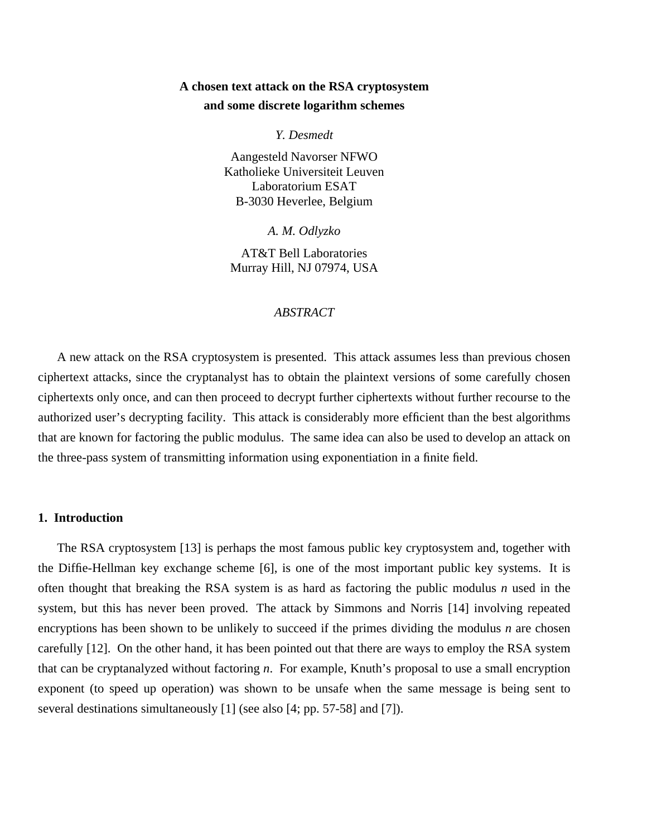# **A chosen text attack on the RSA cryptosystem and some discrete logarithm schemes**

*Y. Desmedt*

Aangesteld Navorser NFWO Katholieke Universiteit Leuven Laboratorium ESAT B-3030 Heverlee, Belgium

*A. M. Odlyzko*

AT&T Bell Laboratories Murray Hill, NJ 07974, USA

### *ABSTRACT*

A new attack on the RSA cryptosystem is presented. This attack assumes less than previous chosen ciphertext attacks, since the cryptanalyst has to obtain the plaintext versions of some carefully chosen ciphertexts only once, and can then proceed to decrypt further ciphertexts without further recourse to the authorized user's decrypting facility. This attack is considerably more efficient than the best algorithms that are known for factoring the public modulus. The same idea can also be used to develop an attack on the three-pass system of transmitting information using exponentiation in a finite field.

## **1. Introduction**

The RSA cryptosystem [13] is perhaps the most famous public key cryptosystem and, together with the Diffie-Hellman key exchange scheme [6], is one of the most important public key systems. It is often thought that breaking the RSA system is as hard as factoring the public modulus *n* used in the system, but this has never been proved. The attack by Simmons and Norris [14] involving repeated encryptions has been shown to be unlikely to succeed if the primes dividing the modulus *n* are chosen carefully [12]. On the other hand, it has been pointed out that there are ways to employ the RSA system that can be cryptanalyzed without factoring *n*. For example, Knuth's proposal to use a small encryption exponent (to speed up operation) was shown to be unsafe when the same message is being sent to several destinations simultaneously [1] (see also [4; pp. 57-58] and [7]).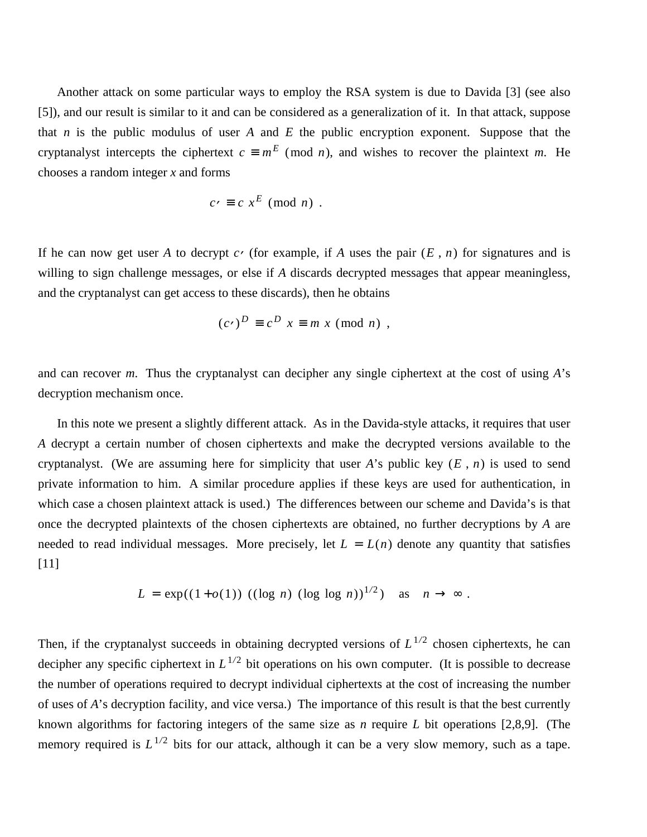Another attack on some particular ways to employ the RSA system is due to Davida [3] (see also [5]), and our result is similar to it and can be considered as a generalization of it. In that attack, suppose that *n* is the public modulus of user *A* and *E* the public encryption exponent. Suppose that the cryptanalyst intercepts the ciphertext  $c \equiv m^E \pmod{n}$ , and wishes to recover the plaintext *m*. He chooses a random integer *x* and forms

$$
c\prime \equiv c \; x^E \; (\bmod \; n) \; .
$$

If he can now get user *A* to decrypt  $c \cdot$  (for example, if *A* uses the pair  $(E, n)$  for signatures and is willing to sign challenge messages, or else if *A* discards decrypted messages that appear meaningless, and the cryptanalyst can get access to these discards), then he obtains

$$
(c \cdot)^D \equiv c^D \ x \equiv m \ x \ (mod \ n) \ ,
$$

and can recover *m*. Thus the cryptanalyst can decipher any single ciphertext at the cost of using *A*'s decryption mechanism once.

In this note we present a slightly different attack. As in the Davida-style attacks, it requires that user *A* decrypt a certain number of chosen ciphertexts and make the decrypted versions available to the cryptanalyst. (We are assuming here for simplicity that user *A*'s public key (*E* , *n*) is used to send private information to him. A similar procedure applies if these keys are used for authentication, in which case a chosen plaintext attack is used.) The differences between our scheme and Davida's is that once the decrypted plaintexts of the chosen ciphertexts are obtained, no further decryptions by *A* are needed to read individual messages. More precisely, let  $L = L(n)$  denote any quantity that satisfies [11]

$$
L = \exp((1+o(1)) \ ((\log n) \ (\log \log n))^{1/2}) \quad \text{as} \quad n \to \infty \ .
$$

Then, if the cryptanalyst succeeds in obtaining decrypted versions of  $L^{1/2}$  chosen ciphertexts, he can decipher any specific ciphertext in  $L^{1/2}$  bit operations on his own computer. (It is possible to decrease the number of operations required to decrypt individual ciphertexts at the cost of increasing the number of uses of *A*'s decryption facility, and vice versa.) The importance of this result is that the best currently known algorithms for factoring integers of the same size as *n* require *L* bit operations [2,8,9]. (The memory required is  $L^{1/2}$  bits for our attack, although it can be a very slow memory, such as a tape.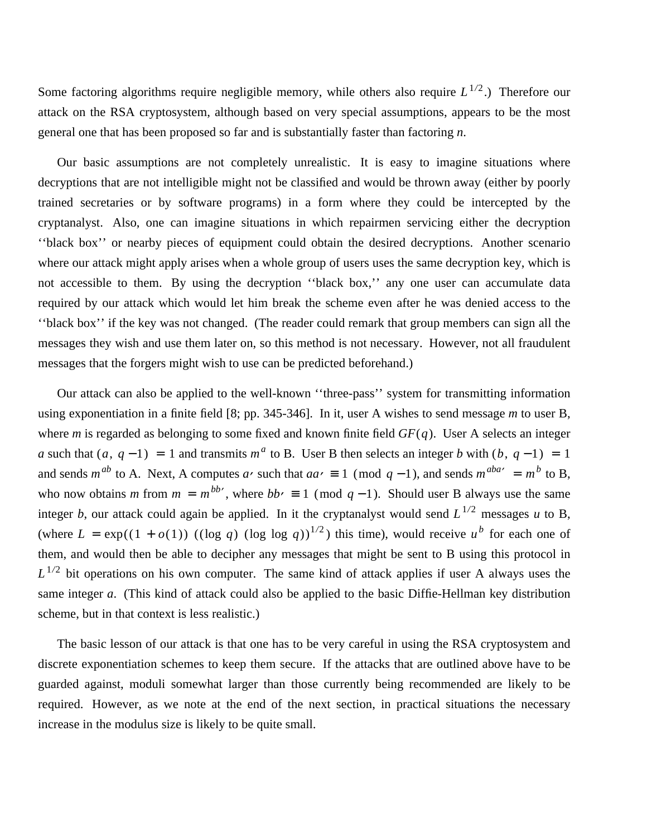Some factoring algorithms require negligible memory, while others also require  $L^{1/2}$ .) Therefore our attack on the RSA cryptosystem, although based on very special assumptions, appears to be the most general one that has been proposed so far and is substantially faster than factoring *n*.

Our basic assumptions are not completely unrealistic. It is easy to imagine situations where decryptions that are not intelligible might not be classified and would be thrown away (either by poorly trained secretaries or by software programs) in a form where they could be intercepted by the cryptanalyst. Also, one can imagine situations in which repairmen servicing either the decryption ''black box'' or nearby pieces of equipment could obtain the desired decryptions. Another scenario where our attack might apply arises when a whole group of users uses the same decryption key, which is not accessible to them. By using the decryption ''black box,'' any one user can accumulate data required by our attack which would let him break the scheme even after he was denied access to the ''black box'' if the key was not changed. (The reader could remark that group members can sign all the messages they wish and use them later on, so this method is not necessary. However, not all fraudulent messages that the forgers might wish to use can be predicted beforehand.)

Our attack can also be applied to the well-known ''three-pass'' system for transmitting information using exponentiation in a finite field [8; pp. 345-346]. In it, user A wishes to send message *m* to user B, where *m* is regarded as belonging to some fixed and known finite field *GF*(*q*). User A selects an integer *a* such that  $(a, q-1) = 1$  and transmits  $m^a$  to B. User B then selects an integer *b* with  $(b, q-1) = 1$ and sends  $m^{ab}$  to A. Next, A computes *a*, such that  $aa \neq 1 \pmod{q-1}$ , and sends  $m^{aba} = m^b$  to B, who now obtains *m* from  $m = m^{bb}$ , where  $bb = 1 \pmod{q-1}$ . Should user B always use the same integer *b*, our attack could again be applied. In it the cryptanalyst would send  $L^{1/2}$  messages *u* to B, (where  $L = \exp((1 + o(1))$  ((log *q*) (log log *q*))<sup>1/2</sup>) this time), would receive *u*<sup>b</sup> for each one of them, and would then be able to decipher any messages that might be sent to B using this protocol in  $L^{1/2}$  bit operations on his own computer. The same kind of attack applies if user A always uses the same integer *a*. (This kind of attack could also be applied to the basic Diffie-Hellman key distribution scheme, but in that context is less realistic.)

The basic lesson of our attack is that one has to be very careful in using the RSA cryptosystem and discrete exponentiation schemes to keep them secure. If the attacks that are outlined above have to be guarded against, moduli somewhat larger than those currently being recommended are likely to be required. However, as we note at the end of the next section, in practical situations the necessary increase in the modulus size is likely to be quite small.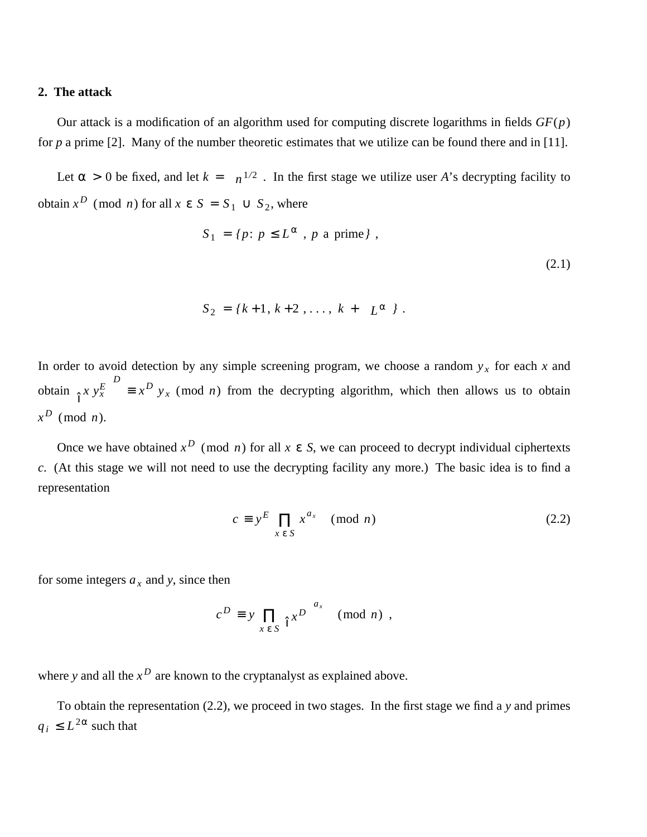### **2. The attack**

Our attack is a modification of an algorithm used for computing discrete logarithms in fields *GF*(*p*) for *p* a prime [2]. Many of the number theoretic estimates that we utilize can be found there and in [11].

Let  $\alpha > 0$  be fixed, and let  $k = \begin{bmatrix} 1 \end{bmatrix}$  $\lfloor n^{1/2} \rfloor$  . In the first stage we utilize user *A*'s decrypting facility to obtain  $x^D$  (mod *n*) for all  $x \in S = S_1 \cup S_2$ , where

$$
S_1 = \{p : p \le L^{\alpha}, p \text{ a prime} \},
$$
\n(2.1)

$$
S_2 = \{k+1, k+2, \ldots, k+\lfloor L^{\alpha} \rfloor \}.
$$

In order to avoid detection by any simple screening program, we choose a random  $y_x$  for each x and obtain  $\left| \begin{array}{c} x \\ y_x^E \end{array} \right|$ J *D*  $\equiv x^D$  *y<sub>x</sub>* (mod *n*) from the decrypting algorithm, which then allows us to obtain  $x^D$  (mod *n*).

Once we have obtained  $x^D$  (mod *n*) for all  $x \in S$ , we can proceed to decrypt individual ciphertexts *c*. (At this stage we will not need to use the decrypting facility any more.) The basic idea is to find a representation

$$
c \equiv y^E \prod_{x \in S} x^{a_x} \pmod{n}
$$
 (2.2)

for some integers  $a_x$  and *y*, since then

$$
c^D \equiv y \prod_{x \in S} \left[ x^D \right]^{a_x} \pmod{n},
$$

where *y* and all the  $x^D$  are known to the cryptanalyst as explained above.

To obtain the representation (2.2), we proceed in two stages. In the first stage we find a *y* and primes  $q_i \leq L^{2\alpha}$  such that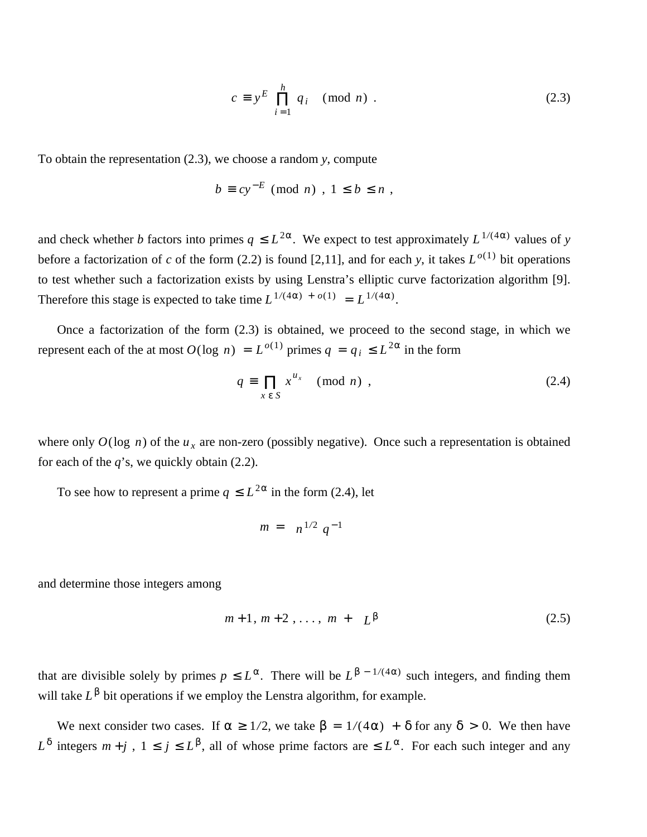$$
c \equiv y^E \prod_{i=1}^h q_i \pmod{n} . \tag{2.3}
$$

To obtain the representation (2.3), we choose a random *y*, compute

$$
b \equiv cy^{-E} \pmod{n}, \ 1 \leq b \leq n,
$$

and check whether *b* factors into primes  $q \leq L^{2\alpha}$ . We expect to test approximately  $L^{1/(4\alpha)}$  values of *y* before a factorization of *c* of the form (2.2) is found [2,11], and for each *y*, it takes  $L^{o(1)}$  bit operations to test whether such a factorization exists by using Lenstra's elliptic curve factorization algorithm [9]. Therefore this stage is expected to take time  $L^{1/(4\alpha) + o(1)} = L^{1/(4\alpha)}$ .

Once a factorization of the form (2.3) is obtained, we proceed to the second stage, in which we represent each of the at most  $O(\log n) = L^{o(1)}$  primes  $q = q_i \le L^{2\alpha}$  in the form

$$
q \equiv \prod_{x \in S} x^{u_x} \pmod{n}, \qquad (2.4)
$$

where only  $O(\log n)$  of the  $u_x$  are non-zero (possibly negative). Once such a representation is obtained for each of the *q*'s, we quickly obtain (2.2).

To see how to represent a prime  $q \leq L^{2\alpha}$  in the form (2.4), let

$$
m = \left\lfloor n^{1/2} q^{-1} \right\rfloor
$$

and determine those integers among

$$
m+1, m+2, \ldots, m + \lfloor L^{\beta} \rfloor \tag{2.5}
$$

that are divisible solely by primes  $p \leq L^{\alpha}$ . There will be  $L^{\beta - 1/(4\alpha)}$  such integers, and finding them will take  $L^{\beta}$  bit operations if we employ the Lenstra algorithm, for example.

We next consider two cases. If  $\alpha \ge 1/2$ , we take  $\beta = 1/(4\alpha) + \delta$  for any  $\delta > 0$ . We then have  $L^{\delta}$  integers  $m + j$ ,  $1 \leq j \leq L^{\beta}$ , all of whose prime factors are  $\leq L^{\alpha}$ . For each such integer and any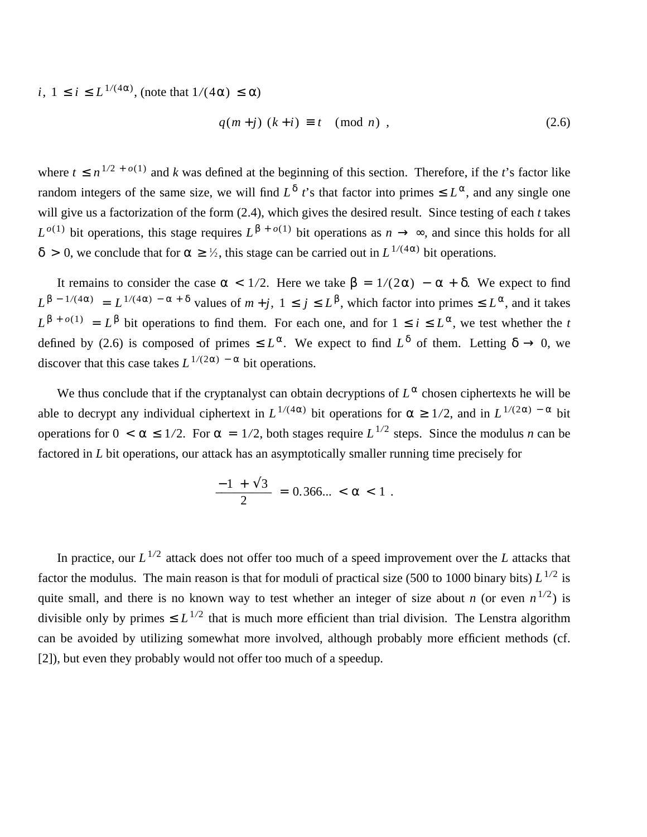*i*,  $1 \le i \le L^{1/(4\alpha)}$ , (note that  $1/(4\alpha) \le \alpha$ )

$$
q(m+j) (k+i) \equiv t \pmod{n}, \qquad (2.6)
$$

where  $t \leq n^{1/2 + o(1)}$  and *k* was defined at the beginning of this section. Therefore, if the *t*'s factor like random integers of the same size, we will find  $L^{\delta}$  *t*'s that factor into primes  $\leq L^{\alpha}$ , and any single one will give us a factorization of the form (2.4), which gives the desired result. Since testing of each *t* takes  $L^{o(1)}$  bit operations, this stage requires  $L^{\beta + o(1)}$  bit operations as  $n \to \infty$ , and since this holds for all  $δ$  > 0, we conclude that for  $α ≥ \frac{1}{2}$ , this stage can be carried out in  $L^{1/(4α)}$  bit operations.

It remains to consider the case  $\alpha < 1/2$ . Here we take  $\beta = 1/(2\alpha) - \alpha + \delta$ . We expect to find  $L^{\beta - 1/(4\alpha)} = L^{1/(4\alpha) - \alpha + \delta}$  values of  $m + j$ ,  $1 \le j \le L^{\beta}$ , which factor into primes  $\le L^{\alpha}$ , and it takes  $L^{\beta + o(1)} = L^{\beta}$  bit operations to find them. For each one, and for  $1 \le i \le L^{\alpha}$ , we test whether the *t* defined by (2.6) is composed of primes  $\leq L^{\alpha}$ . We expect to find  $L^{\delta}$  of them. Letting  $\delta \to 0$ , we discover that this case takes  $L^{1/(2\alpha) - \alpha}$  bit operations.

We thus conclude that if the cryptanalyst can obtain decryptions of  $L^{\alpha}$  chosen ciphertexts he will be able to decrypt any individual ciphertext in  $L^{1/(4\alpha)}$  bit operations for  $\alpha \geq 1/2$ , and in  $L^{1/(2\alpha)}$  -  $\alpha$  bit operations for  $0 < \alpha \leq 1/2$ . For  $\alpha = 1/2$ , both stages require  $L^{1/2}$  steps. Since the modulus *n* can be factored in *L* bit operations, our attack has an asymptotically smaller running time precisely for

$$
\frac{-1 + \sqrt{3}}{2} = 0.366... < \alpha < 1 \; .
$$

In practice, our  $L^{1/2}$  attack does not offer too much of a speed improvement over the *L* attacks that factor the modulus. The main reason is that for moduli of practical size (500 to 1000 binary bits) *L* 1*/*2 is quite small, and there is no known way to test whether an integer of size about *n* (or even  $n^{1/2}$ ) is divisible only by primes  $\leq L^{1/2}$  that is much more efficient than trial division. The Lenstra algorithm can be avoided by utilizing somewhat more involved, although probably more efficient methods (cf. [2]), but even they probably would not offer too much of a speedup.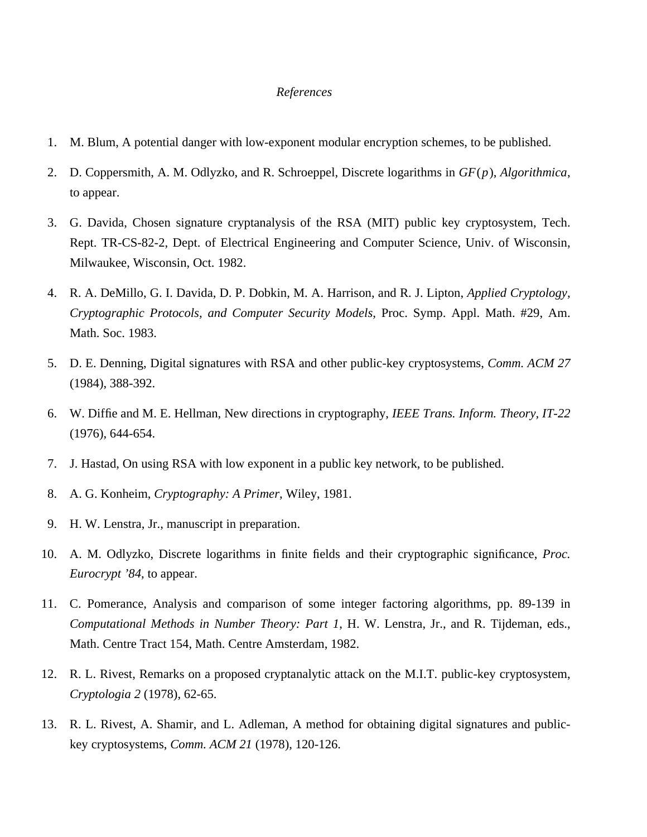#### *References*

- 1. M. Blum, A potential danger with low-exponent modular encryption schemes, to be published.
- 2. D. Coppersmith, A. M. Odlyzko, and R. Schroeppel, Discrete logarithms in *GF*(*p*), *Algorithmica*, to appear.
- 3. G. Davida, Chosen signature cryptanalysis of the RSA (MIT) public key cryptosystem, Tech. Rept. TR-CS-82-2, Dept. of Electrical Engineering and Computer Science, Univ. of Wisconsin, Milwaukee, Wisconsin, Oct. 1982.
- 4. R. A. DeMillo, G. I. Davida, D. P. Dobkin, M. A. Harrison, and R. J. Lipton, *Applied Cryptology, Cryptographic Protocols, and Computer Security Models*, Proc. Symp. Appl. Math. #29, Am. Math. Soc. 1983.
- 5. D. E. Denning, Digital signatures with RSA and other public-key cryptosystems, *Comm. ACM 27* (1984), 388-392.
- 6. W. Diffie and M. E. Hellman, New directions in cryptography, *IEEE Trans. Inform. Theory, IT-22* (1976), 644-654.
- 7. J. Hastad, On using RSA with low exponent in a public key network, to be published.
- 8. A. G. Konheim, *Cryptography: A Primer*, Wiley, 1981.
- 9. H. W. Lenstra, Jr., manuscript in preparation.
- 10. A. M. Odlyzko, Discrete logarithms in finite fields and their cryptographic significance, *Proc. Eurocrypt '84*, to appear.
- 11. C. Pomerance, Analysis and comparison of some integer factoring algorithms, pp. 89-139 in *Computational Methods in Number Theory: Part 1*, H. W. Lenstra, Jr., and R. Tijdeman, eds., Math. Centre Tract 154, Math. Centre Amsterdam, 1982.
- 12. R. L. Rivest, Remarks on a proposed cryptanalytic attack on the M.I.T. public-key cryptosystem, *Cryptologia 2* (1978), 62-65.
- 13. R. L. Rivest, A. Shamir, and L. Adleman, A method for obtaining digital signatures and publickey cryptosystems, *Comm. ACM 21* (1978), 120-126.